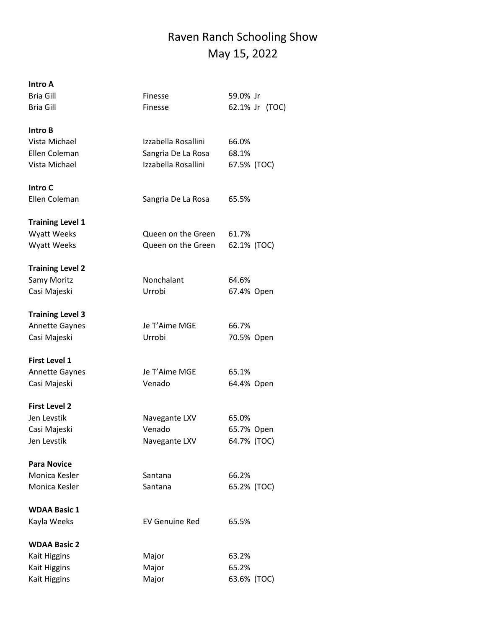## Raven Ranch Schooling Show May 15, 2022

| Intro A                 |                       |                   |
|-------------------------|-----------------------|-------------------|
| Bria Gill               | Finesse               | 59.0% Jr          |
| <b>Bria Gill</b>        | Finesse               | 62.1% Jr<br>(TOC) |
| Intro B                 |                       |                   |
| Vista Michael           | Izzabella Rosallini   | 66.0%             |
| Ellen Coleman           | Sangria De La Rosa    | 68.1%             |
| Vista Michael           | Izzabella Rosallini   | 67.5% (TOC)       |
| Intro C                 |                       |                   |
| Ellen Coleman           | Sangria De La Rosa    | 65.5%             |
| <b>Training Level 1</b> |                       |                   |
| <b>Wyatt Weeks</b>      | Queen on the Green    | 61.7%             |
| <b>Wyatt Weeks</b>      | Queen on the Green    | 62.1% (TOC)       |
| <b>Training Level 2</b> |                       |                   |
| Samy Moritz             | Nonchalant            | 64.6%             |
| Casi Majeski            | Urrobi                | 67.4% Open        |
| <b>Training Level 3</b> |                       |                   |
| <b>Annette Gaynes</b>   | Je T'Aime MGE         | 66.7%             |
| Casi Majeski            | Urrobi                | 70.5% Open        |
| <b>First Level 1</b>    |                       |                   |
| <b>Annette Gaynes</b>   | Je T'Aime MGE         | 65.1%             |
| Casi Majeski            | Venado                | 64.4% Open        |
| <b>First Level 2</b>    |                       |                   |
| Jen Levstik             | Navegante LXV         | 65.0%             |
| Casi Majeski            | Venado                | 65.7% Open        |
| Jen Levstik             | Navegante LXV         | 64.7% (TOC)       |
| <b>Para Novice</b>      |                       |                   |
| Monica Kesler           | Santana               | 66.2%             |
| Monica Kesler           | Santana               | 65.2% (TOC)       |
| <b>WDAA Basic 1</b>     |                       |                   |
| Kayla Weeks             | <b>EV Genuine Red</b> | 65.5%             |
| <b>WDAA Basic 2</b>     |                       |                   |
| Kait Higgins            | Major                 | 63.2%             |
| <b>Kait Higgins</b>     | Major                 | 65.2%             |
| Kait Higgins            | Major                 | 63.6% (TOC)       |